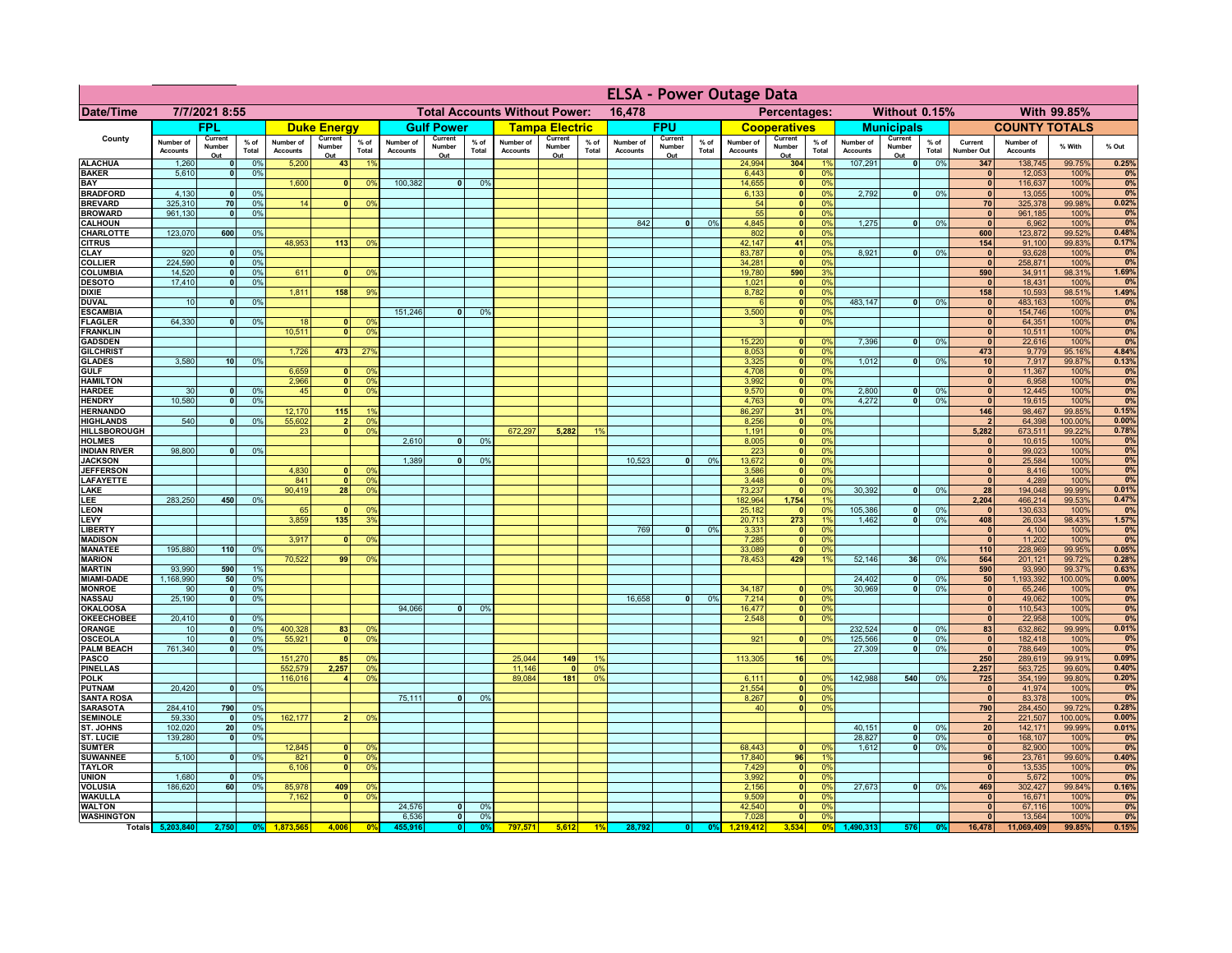|                                       |                              |                              |                 |                              |                                      |                                                |                       | <b>ELSA - Power Outage Data</b> |                      |                              |                       |                                              |                              |                   |                 |                              |                               |                      |                              |                           |                 |                              |                              |                   |                |
|---------------------------------------|------------------------------|------------------------------|-----------------|------------------------------|--------------------------------------|------------------------------------------------|-----------------------|---------------------------------|----------------------|------------------------------|-----------------------|----------------------------------------------|------------------------------|-------------------|-----------------|------------------------------|-------------------------------|----------------------|------------------------------|---------------------------|-----------------|------------------------------|------------------------------|-------------------|----------------|
| <b>Date/Time</b>                      | 7/7/2021 8:55                |                              |                 |                              |                                      | <b>Total Accounts Without Power:</b><br>16,478 |                       |                                 |                      |                              |                       | Without 0.15%<br>With 99.85%<br>Percentages: |                              |                   |                 |                              |                               |                      |                              |                           |                 |                              |                              |                   |                |
|                                       |                              | <b>FPL</b>                   |                 |                              | <b>Duke Energy</b>                   |                                                |                       | <b>Gulf Power</b>               |                      |                              | <b>Tampa Electric</b> |                                              |                              | <b>FPU</b>        |                 |                              | <b>Cooperatives</b>           |                      |                              | <b>Municipals</b>         |                 |                              | <b>COUNTY TOTALS</b>         |                   |                |
| County                                | Number of<br><b>Accounts</b> | Current<br>Number            | $%$ of<br>Total | Number of<br><b>Accounts</b> | Current<br>Number                    | $%$ of<br>Total                                | Number of<br>Accounts | Current<br>Number               | $%$ of<br>Total      | Number of<br><b>Accounts</b> | Current<br>Number     | % of<br>Total                                | Number of<br><b>Accounts</b> | Current<br>Number | $%$ of<br>Total | Number of<br><b>Accounts</b> | Current<br>Number             | $%$ of<br>Total      | Number of<br><b>Accounts</b> | Current<br>Number         | $%$ of<br>Total | Current<br><b>Number Out</b> | Number of<br><b>Accounts</b> | % With            | % Out          |
| <b>ALACHUA</b>                        | 1,260                        | Out<br>$\mathbf{0}$          | 0%              | 5,200                        | Out<br>43                            | 19                                             |                       | Out                             |                      |                              | Out                   |                                              |                              | Out               |                 | 24,994                       | Out<br>304                    | 19                   | 107,291                      | Out<br>$\bullet$          | 0%              | 347                          | 138,745                      | 99.75%            | 0.25%          |
| <b>BAKER</b><br>BAY                   | 5,610                        | 0                            | 0%              | 1,600                        | $\mathbf{0}$                         | 0 <sup>9</sup>                                 | 100,382               | 0                               | 0%                   |                              |                       |                                              |                              |                   |                 | 6,443<br>14,655              | 0 <br> 0                      | 0%<br>0%             |                              |                           |                 | $\mathbf{0}$<br>$\mathbf{0}$ | 12,053<br>116,637            | 100%<br>100%      | 0%<br>0%       |
| <b>BRADFORD</b>                       | 4,130                        | 0                            | 0%              |                              |                                      |                                                |                       |                                 |                      |                              |                       |                                              |                              |                   |                 | 6,133                        | 0                             | 0%                   | 2,792                        | 0                         | 0%              | $\mathbf{0}$                 | 13,055                       | 100%              | 0%             |
| <b>BREVARD</b>                        | 325,310<br>961.130           | 70                           | 0%<br>0%        | 14                           | 0                                    | 0 <sup>9</sup>                                 |                       |                                 |                      |                              |                       |                                              |                              |                   |                 | 54                           | 0                             | 0%                   |                              |                           |                 | <b>70</b><br>$\mathbf{0}$    | 325,378                      | 99.98%            | 0.02%          |
| <b>BROWARD</b><br><b>CALHOUN</b>      |                              | o                            |                 |                              |                                      |                                                |                       |                                 |                      |                              |                       |                                              | 842                          | $\mathbf{0}$      | 0%              | 55<br>4,845                  | 0 <br> 0                      | 0%<br>0%             | 1,275                        | $\bullet$                 | 0%              | $\mathbf{0}$                 | 961.185<br>6,962             | 100%<br>100%      | 0%<br>0%       |
| CHARLOTTE                             | 123,070                      | 600                          | 0%              |                              |                                      |                                                |                       |                                 |                      |                              |                       |                                              |                              |                   |                 | 802                          | 0                             | 0%                   |                              |                           |                 | 600                          | 123,872                      | 99.52%            | 0.48%          |
| <b>CITRUS</b><br><b>CLAY</b>          | 920                          |                              | 0%              | 48,953                       | 113                                  | 0%                                             |                       |                                 |                      |                              |                       |                                              |                              |                   |                 | 42,147<br>83,787             | 41<br> 0                      | 0%<br>0 <sup>9</sup> | 8,921                        | $\mathbf{0}$              | 0%              | 154<br>$\mathbf{0}$          | 91,100<br>93,628             | 99.83%<br>100%    | 0.17%<br>0%    |
| <b>COLLIER</b>                        | 224,590                      | $\mathbf{0}$                 | 0%              |                              |                                      |                                                |                       |                                 |                      |                              |                       |                                              |                              |                   |                 | 34,281                       | 0                             | 0%                   |                              |                           |                 | $\mathbf{0}$                 | 258,871                      | 100%              | 0%             |
| <b>COLUMBIA</b><br><b>DESOTO</b>      | 14,520<br>17,410             | $\mathbf{0}$<br>$\mathbf{0}$ | 0%<br>0%        | 611                          |                                      | 0 <sup>9</sup>                                 |                       |                                 |                      |                              |                       |                                              |                              |                   |                 | 19,780<br>1,021              | 590<br> 0                     | 3%<br>0%             |                              |                           |                 | 590<br>$\mathbf{0}$          | 34,911<br>18,431             | 98.31%<br>100%    | 1.69%<br>0%    |
| <b>DIXIE</b>                          |                              |                              |                 | 1,811                        | 158                                  | 9%                                             |                       |                                 |                      |                              |                       |                                              |                              |                   |                 | 8,782                        | 0                             | 0%                   |                              |                           |                 | 158                          | 10,593                       | 98.51%            | 1.49%          |
| <b>DUVAL</b>                          | 10                           | $\Omega$                     | 0%              |                              |                                      |                                                |                       |                                 |                      |                              |                       |                                              |                              |                   |                 |                              | 0                             | 0%                   | 483,147                      | $\mathbf{0}$              | 0%              | $\mathbf{0}$                 | 483,163                      | 100%              | 0%             |
| <b>ESCAMBIA</b><br><b>FLAGLER</b>     | 64,330                       | $\mathbf{0}$                 | 0%              | 18                           |                                      | 0 <sup>9</sup>                                 | 151,246               | $\Omega$                        | 0 <sup>9</sup>       |                              |                       |                                              |                              |                   |                 | 3,500                        | 0 <br> 0                      | 0%<br>0%             |                              |                           |                 | $\mathbf{0}$<br>$\mathbf{0}$ | 154,746<br>64,351            | 100%<br>100%      | 0%<br>0%       |
| <b>FRANKLIN</b>                       |                              |                              |                 | 10,511                       |                                      | 0 <sup>9</sup>                                 |                       |                                 |                      |                              |                       |                                              |                              |                   |                 |                              |                               |                      |                              |                           |                 | $\mathbf{0}$                 | 10,511                       | 100%              | 0%             |
| <b>GADSDEN</b>                        |                              |                              |                 | 1,726                        | 473                                  | 27%                                            |                       |                                 |                      |                              |                       |                                              |                              |                   |                 | 15,220<br>8,053              | $\mathbf{0}$<br> 0            | 0%<br>0%             | 7,396                        | 0                         | 0%              | $\mathbf{0}$<br>473          | 22,616<br>9,779              | 100%<br>95.16%    | 0%<br>4.84%    |
| <b>GILCHRIST</b><br><b>GLADES</b>     | 3.580                        | 10                           | 0%              |                              |                                      |                                                |                       |                                 |                      |                              |                       |                                              |                              |                   |                 | 3,325                        | $\overline{\mathbf{0}}$       | 0%                   | 1,012                        | $\bullet$                 | 0%              | 10                           | 7,917                        | 99.87%            | 0.13%          |
| <b>GULF</b>                           |                              |                              |                 | 6,659                        | $\Omega$                             | 0 <sup>9</sup>                                 |                       |                                 |                      |                              |                       |                                              |                              |                   |                 | 4,708                        | $\overline{\mathbf{0}}$       | 0%                   |                              |                           |                 | 0                            | 11,367                       | 100%              | 0%             |
| <b>HAMILTON</b><br><b>HARDEE</b>      | 30                           | 0                            | 0%              | 2.966<br>45                  | $\mathbf{0}$<br>$\Omega$             | 0 <sup>9</sup><br>0 <sup>9</sup>               |                       |                                 |                      |                              |                       |                                              |                              |                   |                 | 3,992<br>9,570               | $\overline{\mathbf{0}}$<br> 0 | 0%<br>0%             | 2,800                        | $\bullet$                 | 0%              | 0 <br> 0                     | 6,958<br>12,445              | 100%<br>100%      | 0%<br>0%       |
| <b>HENDRY</b>                         | 10,580                       | 0                            | 0%              |                              |                                      |                                                |                       |                                 |                      |                              |                       |                                              |                              |                   |                 | 4,763                        | 0                             | 0%                   | 4,272                        | $\bullet$                 | 0%              | $\mathbf{0}$                 | 19,615                       | 100%              | 0%             |
| <b>HERNANDO</b>                       |                              |                              |                 | 12,170                       | 115                                  | 1 <sup>0</sup>                                 |                       |                                 |                      |                              |                       |                                              |                              |                   |                 | 86,297                       | 31                            | 0%                   |                              |                           |                 | 146                          | 98,467                       | 99.85%            | 0.15%          |
| <b>HIGHLANDS</b><br>HILLSBOROUGH      | 540                          | $\Omega$                     | 0%              | 55,602<br>23                 | $\overline{\phantom{a}}$<br>$\Omega$ | 0 <sup>9</sup><br>0 <sup>9</sup>               |                       |                                 |                      | 672,297                      | 5,282                 | 19                                           |                              |                   |                 | 8,256<br>1,191               | 0 <br> 0                      | 0%<br>0%             |                              |                           |                 | $\overline{2}$<br>5,282      | 64,398<br>673,511            | 100.00%<br>99.22% | 0.00%<br>0.78% |
| <b>HOLMES</b>                         |                              |                              |                 |                              |                                      |                                                | 2,610                 | <sub>0</sub>                    | 0 <sup>9</sup>       |                              |                       |                                              |                              |                   |                 | 8,005                        | 0                             | 0%                   |                              |                           |                 | $\mathbf{0}$                 | 10,615                       | 100%              | 0%             |
| <b>INDIAN RIVER</b><br><b>JACKSON</b> | 98,800                       |                              | 0%              |                              |                                      |                                                | 1.389                 |                                 | 0 <br>0%             |                              |                       |                                              | 10.523                       | $\mathbf{0}$      | 0%              | 223<br>13,672                | 0 <br> 0                      | 0%<br>0%             |                              |                           |                 | $\mathbf{0}$<br> 0           | 99,023<br>25,584             | 100%<br>100%      | 0%<br>0%       |
| <b>JEFFERSON</b>                      |                              |                              |                 | 4.830                        |                                      | 0%                                             |                       |                                 |                      |                              |                       |                                              |                              |                   |                 | 3.586                        | $\overline{0}$                | 0%                   |                              |                           |                 | 0                            | 8.416                        | 100%              | 0%             |
| LAFAYETTE                             |                              |                              |                 | 841                          | $\Omega$                             | 0%                                             |                       |                                 |                      |                              |                       |                                              |                              |                   |                 | 3.448                        | 0                             | 0%                   |                              |                           |                 | 0                            | 4.289                        | 100%              | 0%             |
| LAKE<br>LEE                           | 283,250                      | 450                          | 0%              | 90,419                       | 28                                   | 0%                                             |                       |                                 |                      |                              |                       |                                              |                              |                   |                 | 73,237<br>182,964            | 0 <br>1,754                   | 0%<br>1%             | 30,392                       | $\mathbf{0}$              | 0%              | 28<br>2,204                  | 194,048<br>466,214           | 99.99%<br>99.53%  | 0.01%<br>0.47% |
| <b>LEON</b>                           |                              |                              |                 | 65                           |                                      | 0 <sup>9</sup>                                 |                       |                                 |                      |                              |                       |                                              |                              |                   |                 | 25,182                       | 0                             | 0 <sup>9</sup>       | 105,386                      | $\mathbf{0}$              | 0%              | $\mathbf{0}$                 | 130,633                      | 100%              | 0%             |
| LEVY                                  |                              |                              |                 | 3,859                        | 135                                  | 3 <sup>9</sup>                                 |                       |                                 |                      |                              |                       |                                              |                              |                   |                 | 20,713                       | 273                           | 1%                   | 1,462                        | $\mathbf{0}$              | 0%              | 408                          | 26,034                       | 98.43%            | 1.57%          |
| <b>LIBERTY</b><br><b>MADISON</b>      |                              |                              |                 | 3,917                        |                                      | 0 <sup>9</sup>                                 |                       |                                 |                      |                              |                       |                                              | 769                          | $\mathbf{0}$      | 0%              | 3,331<br>7,285               | 0 <br> 0                      | 0%<br>0%             |                              |                           |                 | $\bullet$<br>$\mathbf{0}$    | 4,100<br>11,202              | 100%<br>100%      | 0%<br>0%       |
| <b>MANATEE</b>                        | 195,880                      | 110                          | 0%              |                              |                                      |                                                |                       |                                 |                      |                              |                       |                                              |                              |                   |                 | 33,089                       | 0                             | 0%                   |                              |                           |                 | 110                          | 228,969                      | 99.95%            | 0.05%          |
| <b>MARION</b><br><b>MARTIN</b>        | 93,990                       | 590                          | 1%              | 70,522                       | 99                                   | 0 <sup>9</sup>                                 |                       |                                 |                      |                              |                       |                                              |                              |                   |                 | 78,453                       | 429                           | 1%                   | 52,146                       | 36                        | 0%              | 564<br>590                   | 201,121<br>93,990            | 99.72%<br>99.37%  | 0.28%<br>0.63% |
| <b>MIAMI-DADE</b>                     | 1,168,990                    | 50                           | 0%              |                              |                                      |                                                |                       |                                 |                      |                              |                       |                                              |                              |                   |                 |                              |                               |                      | 24,402                       | $\mathbf{0}$              | 0%              | 50                           | ,193,392                     | 100.00%           | 0.00%          |
| <b>MONROE</b>                         | 90                           | $\mathbf{0}$                 | 0%              |                              |                                      |                                                |                       |                                 |                      |                              |                       |                                              |                              |                   |                 | 34,187                       | $\mathbf{0}$                  | 0%                   | 30,969                       | 0                         | 0%              | 0                            | 65,246                       | 100%              | 0%             |
| <b>NASSAU</b><br>OKALOOS/             | 25,190                       | $\mathbf{0}$                 | 0%              |                              |                                      |                                                | 94,066                | 0                               | 0%                   |                              |                       |                                              | 16,658                       | $\Omega$          | 0%              | 7,214<br>16,477              | 0 <br> 0                      | 0%<br>0%             |                              |                           |                 | 0 <br> 0                     | 49,062<br>110,543            | 100%<br>100%      | 0%<br>0%       |
| <b>OKEECHOBEE</b>                     | 20,410                       | 0                            | 0%              |                              |                                      |                                                |                       |                                 |                      |                              |                       |                                              |                              |                   |                 | 2,548                        | 0                             | 0%                   |                              |                           |                 | 0                            | 22,958                       | 100%              | 0%             |
| <b>ORANGE</b>                         | 10                           | 0                            | 0%              | 400,328                      | 83                                   | 0%                                             |                       |                                 |                      |                              |                       |                                              |                              |                   |                 |                              |                               |                      | 232,524                      | $\bullet$                 | 0%              | 83                           | 632,862                      | 99.99%            | 0.01%<br>0%    |
| <b>OSCEOLA</b><br><b>PALM BEACH</b>   | 10<br>761,340                | 0 <br> 0                     | 0%<br>0%        | 55,921                       | $\Omega$                             | 0%                                             |                       |                                 |                      |                              |                       |                                              |                              |                   |                 | 921                          | 0                             | 0%                   | 125,566<br>27,309            | 0 <br>$\mathbf{0}$        | 0%<br>0%        | 0 <br> 0                     | 182,418<br>788,649           | 100%<br>100%      | 0%             |
| <b>PASCO</b>                          |                              |                              |                 | 151,270                      | 85                                   | 0%                                             |                       |                                 |                      | 25,044                       | 149                   |                                              |                              |                   |                 | 113,305                      | 16                            | 0%                   |                              |                           |                 | 250                          | 289,619                      | 99.91%            | 0.09%          |
| <b>PINELLAS</b><br><b>POLK</b>        |                              |                              |                 | 552,579<br>116,016           | 2,257                                | 0%<br>0%                                       |                       |                                 |                      | 11,146<br>89,084             | $\mathbf{0}$<br>181   | 0 <sup>9</sup><br>0 <sup>9</sup>             |                              |                   |                 | 6,111                        | 0                             | 0%                   | 142,988                      | 540                       | 0%              | 2,257<br>725                 | 563,725<br>354,199           | 99.60%<br>99.80%  | 0.40%<br>0.20% |
| <b>PUTNAM</b>                         | 20,420                       | 0                            | 0%              |                              |                                      |                                                |                       |                                 |                      |                              |                       |                                              |                              |                   |                 | 21,554                       | 0                             | 0%                   |                              |                           |                 | $\mathbf{0}$                 | 41,974                       | 100%              | 0%             |
| <b>SANTA ROSA</b>                     |                              |                              |                 |                              |                                      |                                                | 75,111                | $\overline{0}$                  | 0%                   |                              |                       |                                              |                              |                   |                 | 8,267                        | 0                             | 0%                   |                              |                           |                 | $\mathbf{0}$                 | 83,378                       | 100%              | 0%             |
| <b>SARASOTA</b><br><b>SEMINOLE</b>    | 284,410<br>59,330            | 790<br>ol                    | 0%<br>0%        | 162,177                      | $\overline{2}$                       | 0%                                             |                       |                                 |                      |                              |                       |                                              |                              |                   |                 | 40                           | $\overline{0}$                | 0%                   |                              |                           |                 | 790<br>$\overline{2}$        | 284,450<br>221,507           | 99.72%<br>100.00% | 0.28%<br>0.00% |
| ST. JOHNS                             | 102,020                      | 20 <sup>1</sup>              | 0%              |                              |                                      |                                                |                       |                                 |                      |                              |                       |                                              |                              |                   |                 |                              |                               |                      | 40,151                       | 0                         | 0%              | 20                           | 142,171                      | 99.99%            | 0.01%          |
| <b>ST. LUCIE</b><br><b>SUMTER</b>     | 139,280                      | o                            | 0%              | 12,845                       |                                      | 0 <sup>9</sup>                                 |                       |                                 |                      |                              |                       |                                              |                              |                   |                 | 68.443                       | 0                             | 0%                   | 28.827<br>1.612              | $\bullet$<br>$\mathbf{0}$ | 0%<br>0%        | 0 <br>$\mathbf{0}$           | 168,107<br>82,900            | 100%<br>100%      | 0%<br>0%       |
| SUWANNEE                              | 5,100                        | 0                            | 0%              | 821                          | $\Omega$                             | 0%                                             |                       |                                 |                      |                              |                       |                                              |                              |                   |                 | 17,840                       | 96                            | 1%                   |                              |                           |                 | 96                           | 23,761                       | 99.60%            | 0.40%          |
| <b>TAYLOR</b>                         |                              |                              |                 | 6,106                        | $\mathbf{0}$                         | 0%                                             |                       |                                 |                      |                              |                       |                                              |                              |                   |                 | 7,429                        | 0                             | 0%                   |                              |                           |                 | $\mathbf{0}$                 | 13,535                       | 100%              | 0%             |
| <b>UNION</b><br><b>VOLUSIA</b>        | 1,680<br>186,620             | 0 <br>60                     | 0%<br>0%        | 85,978                       | 409                                  | 0%                                             |                       |                                 |                      |                              |                       |                                              |                              |                   |                 | 3,992<br>2,156               | 0 <br> 0                      | 0%<br>0%             | 27,673                       | $\mathbf{0}$              | 0%              | $\mathbf{0}$<br>469          | 5,672<br>302,427             | 100%<br>99.84%    | 0%<br>0.16%    |
| <b>WAKULLA</b>                        |                              |                              |                 | 7,162                        |                                      | 0 <sup>9</sup>                                 |                       |                                 |                      |                              |                       |                                              |                              |                   |                 | 9,509                        | 0                             | 0%                   |                              |                           |                 | $\mathbf{0}$                 | 16,671                       | 100%              | 0%             |
| <b>WALTON</b>                         |                              |                              |                 |                              |                                      |                                                | 24,576                | $\mathbf{0}$                    | 0 <sup>9</sup>       |                              |                       |                                              |                              |                   |                 | 42,540                       | 0                             | 0%                   |                              |                           |                 | $\mathbf{0}$                 | 67,116                       | 100%              | 0%             |
| <b>WASHINGTON</b>                     | Totals 5,203,840             | 2,750                        | 0%              | 1,873,565                    | 4,006                                | 0 <sup>o</sup>                                 | 6,536<br>455,916      | 0 <br> 0                        | 0%<br>0 <sup>9</sup> | 797,571                      | 5,612                 | 1%                                           | 28,792                       | 0                 | 0%              | 7,028<br>1,219,412           | 0 <br>3,534                   | 0%<br>0%             | 1,490,313                    | 576                       | -0%             | $\mathbf{0}$<br>16,478       | 13,564<br>11.069.409         | 100%<br>99.85%    | 0%<br>0.15%    |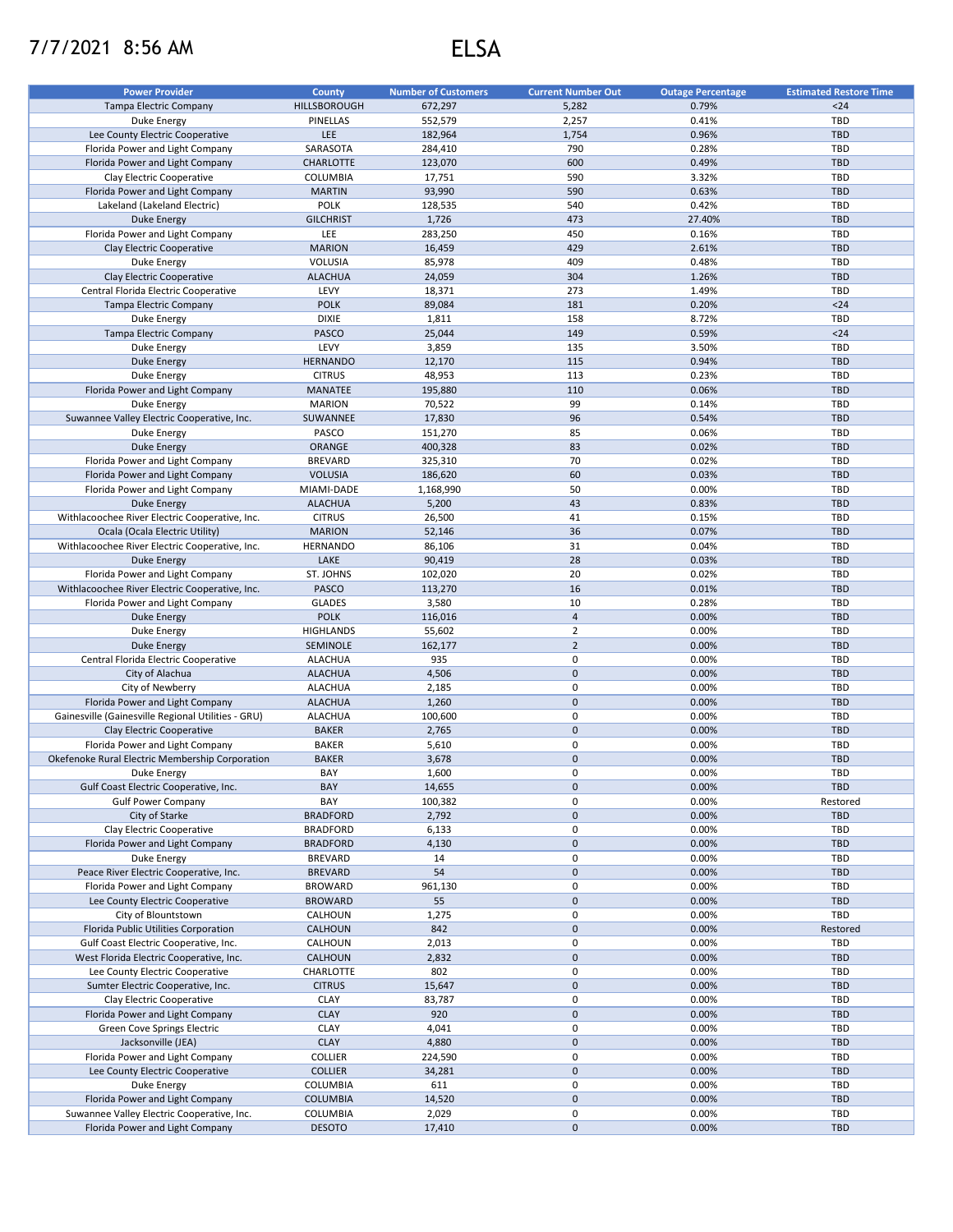## 7/7/2021 8:56 AM ELSA

| <b>Power Provider</b>                               | <b>County</b>    | <b>Number of Customers</b> | <b>Current Number Out</b> | <b>Outage Percentage</b> | <b>Estimated Restore Time</b> |
|-----------------------------------------------------|------------------|----------------------------|---------------------------|--------------------------|-------------------------------|
| Tampa Electric Company                              | HILLSBOROUGH     | 672,297                    | 5,282                     | 0.79%                    | $24$                          |
| Duke Energy                                         | PINELLAS         | 552,579                    | 2,257                     | 0.41%                    | <b>TBD</b>                    |
| Lee County Electric Cooperative                     | LEE              | 182,964                    | 1,754                     | 0.96%                    | <b>TBD</b>                    |
| Florida Power and Light Company                     | SARASOTA         | 284,410                    | 790                       | 0.28%                    | TBD                           |
| Florida Power and Light Company                     | CHARLOTTE        | 123,070                    | 600                       | 0.49%                    | <b>TBD</b>                    |
| Clay Electric Cooperative                           | COLUMBIA         | 17,751                     | 590                       | 3.32%                    | <b>TBD</b>                    |
| Florida Power and Light Company                     | <b>MARTIN</b>    | 93,990                     | 590                       | 0.63%                    | <b>TBD</b>                    |
| Lakeland (Lakeland Electric)                        | <b>POLK</b>      | 128,535                    | 540                       | 0.42%                    | <b>TBD</b>                    |
| <b>Duke Energy</b>                                  | <b>GILCHRIST</b> | 1,726                      | 473                       | 27.40%                   | <b>TBD</b>                    |
| Florida Power and Light Company                     | LEE              | 283,250                    | 450                       | 0.16%                    | <b>TBD</b>                    |
| Clay Electric Cooperative                           | <b>MARION</b>    | 16,459                     | 429                       | 2.61%                    | <b>TBD</b>                    |
| Duke Energy                                         | VOLUSIA          | 85,978                     | 409                       | 0.48%                    | <b>TBD</b>                    |
| Clay Electric Cooperative                           | <b>ALACHUA</b>   | 24,059                     | 304                       | 1.26%                    | <b>TBD</b>                    |
| Central Florida Electric Cooperative                | LEVY             |                            | 273                       |                          | <b>TBD</b>                    |
|                                                     | <b>POLK</b>      | 18,371                     |                           | 1.49%<br>0.20%           | $24$                          |
| Tampa Electric Company                              | <b>DIXIE</b>     | 89,084                     | 181                       |                          | <b>TBD</b>                    |
| Duke Energy                                         |                  | 1,811                      | 158                       | 8.72%                    |                               |
| Tampa Electric Company                              | <b>PASCO</b>     | 25,044                     | 149                       | 0.59%                    | $24$                          |
| Duke Energy                                         | LEVY             | 3,859                      | 135                       | 3.50%                    | <b>TBD</b>                    |
| <b>Duke Energy</b>                                  | <b>HERNANDO</b>  | 12,170                     | 115                       | 0.94%                    | <b>TBD</b>                    |
| Duke Energy                                         | <b>CITRUS</b>    | 48,953                     | 113                       | 0.23%                    | TBD                           |
| Florida Power and Light Company                     | <b>MANATEE</b>   | 195,880                    | 110                       | 0.06%                    | <b>TBD</b>                    |
| <b>Duke Energy</b>                                  | <b>MARION</b>    | 70,522                     | 99                        | 0.14%                    | <b>TBD</b>                    |
| Suwannee Valley Electric Cooperative, Inc.          | SUWANNEE         | 17,830                     | 96                        | 0.54%                    | <b>TBD</b>                    |
| Duke Energy                                         | PASCO            | 151,270                    | 85                        | 0.06%                    | <b>TBD</b>                    |
| <b>Duke Energy</b>                                  | ORANGE           | 400,328                    | 83                        | 0.02%                    | <b>TBD</b>                    |
| Florida Power and Light Company                     | <b>BREVARD</b>   | 325,310                    | 70                        | 0.02%                    | <b>TBD</b>                    |
| Florida Power and Light Company                     | <b>VOLUSIA</b>   | 186,620                    | 60                        | 0.03%                    | <b>TBD</b>                    |
| Florida Power and Light Company                     | MIAMI-DADE       | 1,168,990                  | 50                        | 0.00%                    | TBD                           |
| <b>Duke Energy</b>                                  | <b>ALACHUA</b>   | 5,200                      | 43                        | 0.83%                    | <b>TBD</b>                    |
| Withlacoochee River Electric Cooperative, Inc.      | <b>CITRUS</b>    | 26,500                     | 41                        | 0.15%                    | TBD                           |
| Ocala (Ocala Electric Utility)                      | <b>MARION</b>    | 52,146                     | 36                        | 0.07%                    | <b>TBD</b>                    |
| Withlacoochee River Electric Cooperative, Inc.      | <b>HERNANDO</b>  | 86,106                     | 31                        | 0.04%                    | <b>TBD</b>                    |
| <b>Duke Energy</b>                                  | LAKE             | 90,419                     | 28                        | 0.03%                    | <b>TBD</b>                    |
| Florida Power and Light Company                     | ST. JOHNS        | 102,020                    | 20                        | 0.02%                    | TBD                           |
| Withlacoochee River Electric Cooperative, Inc.      | PASCO            | 113,270                    | 16                        | 0.01%                    | <b>TBD</b>                    |
| Florida Power and Light Company                     | <b>GLADES</b>    | 3,580                      | 10                        | 0.28%                    | <b>TBD</b>                    |
| <b>Duke Energy</b>                                  | <b>POLK</b>      | 116,016                    | $\overline{4}$            | 0.00%                    | <b>TBD</b>                    |
| Duke Energy                                         | <b>HIGHLANDS</b> | 55,602                     | $\overline{2}$            | 0.00%                    | <b>TBD</b>                    |
| <b>Duke Energy</b>                                  | SEMINOLE         | 162,177                    | $\overline{2}$            | 0.00%                    | <b>TBD</b>                    |
| Central Florida Electric Cooperative                | <b>ALACHUA</b>   | 935                        | 0                         | 0.00%                    | <b>TBD</b>                    |
| City of Alachua                                     | <b>ALACHUA</b>   | 4,506                      | $\mathbf 0$               | 0.00%                    | <b>TBD</b>                    |
|                                                     |                  |                            | 0                         | 0.00%                    | <b>TBD</b>                    |
| City of Newberry<br>Florida Power and Light Company | <b>ALACHUA</b>   | 2,185                      | $\mathsf{O}\xspace$       | 0.00%                    | <b>TBD</b>                    |
|                                                     | <b>ALACHUA</b>   | 1,260                      |                           |                          |                               |
| Gainesville (Gainesville Regional Utilities - GRU)  | <b>ALACHUA</b>   | 100,600                    | 0                         | 0.00%                    | TBD                           |
| Clay Electric Cooperative                           | <b>BAKER</b>     | 2,765                      | $\mathbf 0$               | 0.00%                    | <b>TBD</b>                    |
| Florida Power and Light Company                     | <b>BAKER</b>     | 5,610                      | 0                         | 0.00%                    | <b>TBD</b>                    |
| Okefenoke Rural Electric Membership Corporation     | <b>BAKER</b>     | 3,678                      | $\mathsf{O}\xspace$       | 0.00%                    | <b>TBD</b>                    |
| Duke Energy                                         | BAY              | 1,600                      | 0                         | 0.00%                    | <b>TBD</b>                    |
| Gulf Coast Electric Cooperative, Inc.               | BAY              | 14,655                     | $\pmb{0}$                 | 0.00%                    | TBD                           |
| <b>Gulf Power Company</b>                           | BAY              | 100,382                    | 0                         | 0.00%                    | Restored                      |
| City of Starke                                      | <b>BRADFORD</b>  | 2,792                      | $\mathbf 0$               | 0.00%                    | <b>TBD</b>                    |
| Clay Electric Cooperative                           | <b>BRADFORD</b>  | 6,133                      | $\pmb{0}$                 | 0.00%                    | TBD                           |
| Florida Power and Light Company                     | <b>BRADFORD</b>  | 4,130                      | $\pmb{0}$                 | 0.00%                    | <b>TBD</b>                    |
| Duke Energy                                         | <b>BREVARD</b>   | 14                         | 0                         | 0.00%                    | <b>TBD</b>                    |
| Peace River Electric Cooperative, Inc.              | <b>BREVARD</b>   | 54                         | $\mathsf{O}\xspace$       | 0.00%                    | <b>TBD</b>                    |
| Florida Power and Light Company                     | <b>BROWARD</b>   | 961,130                    | 0                         | 0.00%                    | TBD                           |
| Lee County Electric Cooperative                     | <b>BROWARD</b>   | 55                         | $\pmb{0}$                 | 0.00%                    | <b>TBD</b>                    |
| City of Blountstown                                 | CALHOUN          | 1,275                      | 0                         | 0.00%                    | TBD                           |
| Florida Public Utilities Corporation                | CALHOUN          | 842                        | $\mathsf{O}\xspace$       | 0.00%                    | Restored                      |
| Gulf Coast Electric Cooperative, Inc.               | CALHOUN          | 2,013                      | 0                         | 0.00%                    | TBD                           |
| West Florida Electric Cooperative, Inc.             | <b>CALHOUN</b>   | 2,832                      | $\pmb{0}$                 | 0.00%                    | TBD                           |
| Lee County Electric Cooperative                     | CHARLOTTE        | 802                        | 0                         | 0.00%                    | TBD                           |
| Sumter Electric Cooperative, Inc.                   | <b>CITRUS</b>    | 15,647                     | $\mathbf 0$               | 0.00%                    | <b>TBD</b>                    |
| Clay Electric Cooperative                           | <b>CLAY</b>      | 83,787                     | 0                         | 0.00%                    | TBD                           |
| Florida Power and Light Company                     | <b>CLAY</b>      | 920                        | $\mathsf{O}\xspace$       | 0.00%                    | TBD                           |
| Green Cove Springs Electric                         | <b>CLAY</b>      | 4,041                      | 0                         | 0.00%                    | TBD                           |
| Jacksonville (JEA)                                  | <b>CLAY</b>      | 4,880                      | $\mathbf 0$               | 0.00%                    | TBD                           |
| Florida Power and Light Company                     | <b>COLLIER</b>   | 224,590                    | 0                         | 0.00%                    | TBD                           |
| Lee County Electric Cooperative                     | <b>COLLIER</b>   | 34,281                     | $\mathsf{O}\xspace$       | 0.00%                    | <b>TBD</b>                    |
| Duke Energy                                         | COLUMBIA         | 611                        | 0                         | 0.00%                    | TBD                           |
| Florida Power and Light Company                     | <b>COLUMBIA</b>  | 14,520                     | $\mathsf{O}\xspace$       | 0.00%                    | <b>TBD</b>                    |
| Suwannee Valley Electric Cooperative, Inc.          | COLUMBIA         | 2,029                      | 0                         | 0.00%                    | TBD                           |
| Florida Power and Light Company                     |                  |                            | $\mathsf{O}\xspace$       | 0.00%                    | TBD                           |
|                                                     | <b>DESOTO</b>    | 17,410                     |                           |                          |                               |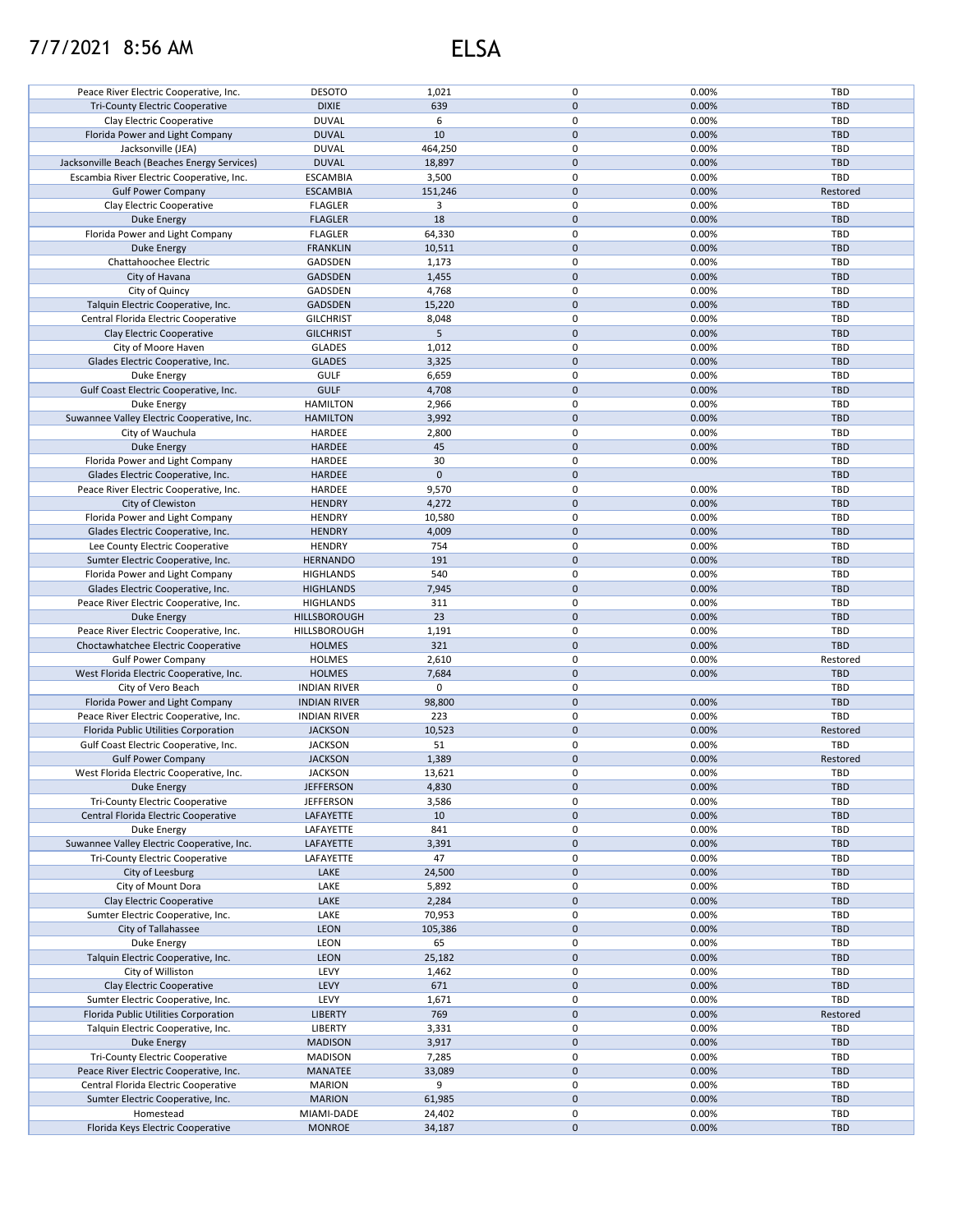## 7/7/2021 8:56 AM ELSA

| Peace River Electric Cooperative, Inc.       | <b>DESOTO</b>               | 1,021            | 0                   | 0.00%          | TBD               |
|----------------------------------------------|-----------------------------|------------------|---------------------|----------------|-------------------|
|                                              | <b>DIXIE</b>                | 639              | $\mathbf{0}$        | 0.00%          | <b>TBD</b>        |
| <b>Tri-County Electric Cooperative</b>       |                             |                  |                     |                |                   |
| Clay Electric Cooperative                    | <b>DUVAL</b>                | 6                | 0                   | 0.00%          | TBD               |
| Florida Power and Light Company              | <b>DUVAL</b>                | 10               | $\mathbf{0}$        | 0.00%          | <b>TBD</b>        |
| Jacksonville (JEA)                           | <b>DUVAL</b>                | 464,250          | 0                   | 0.00%          | TBD               |
| Jacksonville Beach (Beaches Energy Services) | <b>DUVAL</b>                | 18,897           | $\mathbf 0$         | 0.00%          | <b>TBD</b>        |
| Escambia River Electric Cooperative, Inc.    | <b>ESCAMBIA</b>             | 3,500            | 0                   | 0.00%          | TBD               |
| <b>Gulf Power Company</b>                    | <b>ESCAMBIA</b>             | 151,246          | $\mathbf 0$         | 0.00%          | Restored          |
| Clay Electric Cooperative                    | <b>FLAGLER</b>              | 3                | 0                   | 0.00%          | <b>TBD</b>        |
|                                              |                             |                  |                     |                |                   |
| Duke Energy                                  | <b>FLAGLER</b>              | 18               | $\mathbf 0$         | 0.00%          | <b>TBD</b>        |
| Florida Power and Light Company              | <b>FLAGLER</b>              | 64,330           | 0                   | 0.00%          | TBD               |
| <b>Duke Energy</b>                           | <b>FRANKLIN</b>             | 10,511           | $\pmb{0}$           | 0.00%          | <b>TBD</b>        |
| Chattahoochee Electric                       | GADSDEN                     | 1,173            | 0                   | 0.00%          | TBD               |
| City of Havana                               | GADSDEN                     | 1,455            | $\mathbf 0$         | 0.00%          | <b>TBD</b>        |
| City of Quincy                               | GADSDEN                     | 4,768            | 0                   | 0.00%          | TBD               |
| Talquin Electric Cooperative, Inc.           | <b>GADSDEN</b>              | 15,220           | $\mathbf 0$         | 0.00%          | <b>TBD</b>        |
|                                              |                             |                  |                     |                |                   |
| Central Florida Electric Cooperative         | <b>GILCHRIST</b>            | 8,048            | 0                   | 0.00%          | TBD               |
| Clay Electric Cooperative                    | <b>GILCHRIST</b>            | 5                | $\pmb{0}$           | 0.00%          | <b>TBD</b>        |
| City of Moore Haven                          | <b>GLADES</b>               | 1,012            | 0                   | 0.00%          | TBD               |
| Glades Electric Cooperative, Inc.            | <b>GLADES</b>               | 3,325            | $\pmb{0}$           | 0.00%          | <b>TBD</b>        |
| Duke Energy                                  | <b>GULF</b>                 | 6,659            | 0                   | 0.00%          | <b>TBD</b>        |
| Gulf Coast Electric Cooperative, Inc.        | <b>GULF</b>                 | 4,708            | $\pmb{0}$           | 0.00%          | <b>TBD</b>        |
| Duke Energy                                  | <b>HAMILTON</b>             | 2,966            | 0                   | 0.00%          | TBD               |
|                                              |                             |                  |                     |                |                   |
| Suwannee Valley Electric Cooperative, Inc.   | <b>HAMILTON</b>             | 3,992            | $\pmb{0}$           | 0.00%          | <b>TBD</b>        |
| City of Wauchula                             | HARDEE                      | 2,800            | $\pmb{0}$           | 0.00%          | <b>TBD</b>        |
| <b>Duke Energy</b>                           | HARDEE                      | 45               | $\pmb{0}$           | 0.00%          | <b>TBD</b>        |
| Florida Power and Light Company              | HARDEE                      | 30               | 0                   | 0.00%          | TBD               |
| Glades Electric Cooperative, Inc.            | <b>HARDEE</b>               | 0                | $\pmb{0}$           |                | <b>TBD</b>        |
| Peace River Electric Cooperative, Inc.       | HARDEE                      | 9,570            | 0                   | 0.00%          | TBD               |
| City of Clewiston                            | <b>HENDRY</b>               | 4,272            | $\pmb{0}$           | 0.00%          | <b>TBD</b>        |
|                                              |                             |                  |                     |                |                   |
| Florida Power and Light Company              | <b>HENDRY</b>               | 10,580           | 0                   | 0.00%          | TBD               |
| Glades Electric Cooperative, Inc.            | <b>HENDRY</b>               | 4,009            | $\mathbf 0$         | 0.00%          | <b>TBD</b>        |
| Lee County Electric Cooperative              | <b>HENDRY</b>               | 754              | 0                   | 0.00%          | TBD               |
| Sumter Electric Cooperative, Inc.            | <b>HERNANDO</b>             | 191              | $\mathbf 0$         | 0.00%          | <b>TBD</b>        |
| Florida Power and Light Company              | <b>HIGHLANDS</b>            | 540              | 0                   | 0.00%          | TBD               |
| Glades Electric Cooperative, Inc.            | <b>HIGHLANDS</b>            | 7,945            | $\pmb{0}$           | 0.00%          | <b>TBD</b>        |
| Peace River Electric Cooperative, Inc.       | <b>HIGHLANDS</b>            | 311              | $\pmb{0}$           | 0.00%          | TBD               |
| <b>Duke Energy</b>                           | <b>HILLSBOROUGH</b>         | 23               | $\mathbf 0$         | 0.00%          | <b>TBD</b>        |
|                                              |                             |                  |                     |                |                   |
| Peace River Electric Cooperative, Inc.       | HILLSBOROUGH                | 1,191            | 0                   | 0.00%          | TBD               |
| Choctawhatchee Electric Cooperative          | <b>HOLMES</b>               | 321              | $\mathbf 0$         | 0.00%          | <b>TBD</b>        |
| <b>Gulf Power Company</b>                    | <b>HOLMES</b>               | 2,610            | 0                   | 0.00%          | Restored          |
| West Florida Electric Cooperative, Inc.      | <b>HOLMES</b>               | 7,684            | $\pmb{0}$           | 0.00%          | <b>TBD</b>        |
| City of Vero Beach                           | <b>INDIAN RIVER</b>         | 0                | 0                   |                | TBD               |
| Florida Power and Light Company              | <b>INDIAN RIVER</b>         | 98,800           | $\pmb{0}$           | 0.00%          | <b>TBD</b>        |
|                                              |                             |                  | $\pmb{0}$           | 0.00%          | TBD               |
| Peace River Electric Cooperative, Inc.       | <b>INDIAN RIVER</b>         | 223              |                     |                |                   |
| Florida Public Utilities Corporation         | <b>JACKSON</b>              | 10,523           | $\mathsf{O}\xspace$ | 0.00%          | Restored          |
| Gulf Coast Electric Cooperative, Inc.        | <b>JACKSON</b>              | 51               | $\pmb{0}$           | 0.00%          | TBD               |
| <b>Gulf Power Company</b>                    | <b>JACKSON</b>              | 1,389            | $\mathbf 0$         | 0.00%          | Restored          |
| West Florida Electric Cooperative, Inc.      | <b>JACKSON</b>              | 13,621           | $\mathbf 0$         | 0.00%          | TBD               |
| Duke Energy                                  | <b>JEFFERSON</b>            | 4,830            | $\pmb{0}$           | 0.00%          | <b>TBD</b>        |
| Tri-County Electric Cooperative              | <b>JEFFERSON</b>            | 3,586            | 0                   | 0.00%          | TBD               |
| Central Florida Electric Cooperative         | LAFAYETTE                   | 10               | $\mathbf 0$         | 0.00%          | <b>TBD</b>        |
|                                              |                             |                  |                     |                |                   |
| Duke Energy                                  | LAFAYETTE                   | 841              | 0                   | 0.00%          | TBD               |
| Suwannee Valley Electric Cooperative, Inc.   | LAFAYETTE                   | 3,391            | 0                   | 0.00%          | <b>TBD</b>        |
| <b>Tri-County Electric Cooperative</b>       | LAFAYETTE                   | 47               | 0                   | 0.00%          | TBD               |
| City of Leesburg                             | LAKE                        | 24,500           | 0                   | 0.00%          | <b>TBD</b>        |
| City of Mount Dora                           | LAKE                        | 5,892            | 0                   | 0.00%          | TBD               |
| Clay Electric Cooperative                    | LAKE                        | 2,284            | 0                   | 0.00%          | <b>TBD</b>        |
| Sumter Electric Cooperative, Inc.            | LAKE                        | 70,953           | 0                   | 0.00%          | TBD               |
|                                              |                             |                  |                     |                |                   |
| City of Tallahassee                          | <b>LEON</b>                 | 105,386          | $\mathbf 0$         | 0.00%          | <b>TBD</b>        |
| Duke Energy                                  | LEON                        | 65               | 0                   | 0.00%          | TBD               |
| Talquin Electric Cooperative, Inc.           | LEON                        | 25,182           | $\mathbf 0$         | 0.00%          | <b>TBD</b>        |
| City of Williston                            | LEVY                        | 1,462            | 0                   | 0.00%          | TBD               |
| Clay Electric Cooperative                    | LEVY                        | 671              | $\mathbf 0$         | 0.00%          | <b>TBD</b>        |
| Sumter Electric Cooperative, Inc.            | LEVY                        | 1,671            | 0                   | 0.00%          | TBD               |
| Florida Public Utilities Corporation         | <b>LIBERTY</b>              | 769              | $\pmb{0}$           | 0.00%          | Restored          |
|                                              |                             |                  |                     |                |                   |
| Talquin Electric Cooperative, Inc.           | LIBERTY                     | 3,331            | 0                   | 0.00%          | TBD               |
| Duke Energy                                  | <b>MADISON</b>              | 3,917            | $\pmb{0}$           | 0.00%          | <b>TBD</b>        |
| Tri-County Electric Cooperative              | <b>MADISON</b>              | 7,285            | 0                   | 0.00%          | TBD               |
| Peace River Electric Cooperative, Inc.       | MANATEE                     | 33,089           | $\mathsf{O}\xspace$ | 0.00%          | <b>TBD</b>        |
| Central Florida Electric Cooperative         | <b>MARION</b>               | 9                | 0                   | 0.00%          | TBD               |
| Sumter Electric Cooperative, Inc.            | <b>MARION</b>               | 61,985           | 0                   | 0.00%          | <b>TBD</b>        |
| Homestead                                    |                             |                  |                     |                |                   |
|                                              |                             |                  |                     |                |                   |
| Florida Keys Electric Cooperative            | MIAMI-DADE<br><b>MONROE</b> | 24,402<br>34,187 | 0<br>0              | 0.00%<br>0.00% | TBD<br><b>TBD</b> |